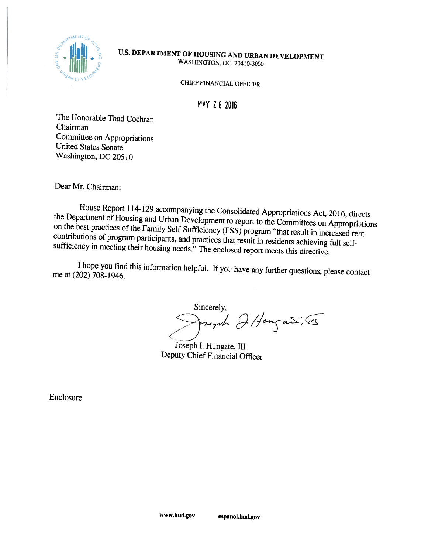

## U.S. DEPARTMENT OF HOUSING AND URBAN DEVELOPMENT **WASHINGTON, DC 20410-3000**

**CHIEF FINANCIAL OFFICER** 

**MAY 26 2016** 

The Honorable Thad Cochran Chairman Committee on Appropriations **United States Senate** Washington, DC 20510

Dear Mr. Chairman:

House Report 114-129 accompanying the Consolidated Appropriations Act, 2016, directs the Department of Housing and Urban Development to report to the Committees on Appropriations on the best practices of the Family Self-Sufficiency (FSS) program "that result in increased rent contributions of program participants, and practices that result in residents achieving full selfsufficiency in meeting their housing needs." The enclosed report meets this directive.

I hope you find this information helpful. If you have any further questions, please contact me at (202) 708-1946.

Sincerely, pright Ilfungant , 45

Joseph I. Hungate, III Deputy Chief Financial Officer

Enclosure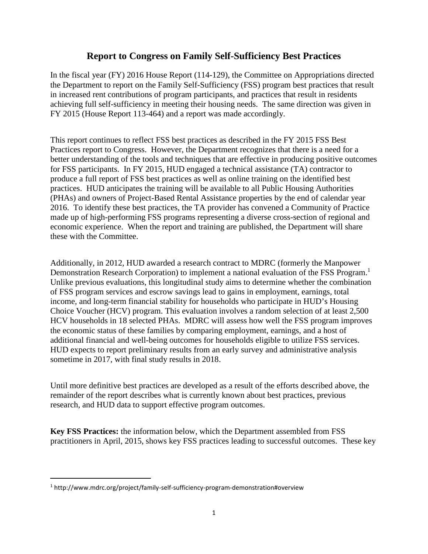## **Report to Congress on Family Self-Sufficiency Best Practices**

In the fiscal year (FY) 2016 House Report (114-129), the Committee on Appropriations directed the Department to report on the Family Self-Sufficiency (FSS) program best practices that result in increased rent contributions of program participants, and practices that result in residents achieving full self-sufficiency in meeting their housing needs. The same direction was given in FY 2015 (House Report 113-464) and a report was made accordingly.

This report continues to reflect FSS best practices as described in the FY 2015 FSS Best Practices report to Congress. However, the Department recognizes that there is a need for a better understanding of the tools and techniques that are effective in producing positive outcomes for FSS participants. In FY 2015, HUD engaged a technical assistance (TA) contractor to produce a full report of FSS best practices as well as online training on the identified best practices. HUD anticipates the training will be available to all Public Housing Authorities (PHAs) and owners of Project-Based Rental Assistance properties by the end of calendar year 2016. To identify these best practices, the TA provider has convened a Community of Practice made up of high-performing FSS programs representing a diverse cross-section of regional and economic experience. When the report and training are published, the Department will share these with the Committee.

Additionally, in 2012, HUD awarded a research contract to MDRC (formerly the Manpower Demonstration Research Corporation) to implement a national evaluation of the FSS Program.<sup>1</sup> Unlike previous evaluations, this longitudinal study aims to determine whether the combination of FSS program services and escrow savings lead to gains in employment, earnings, total income, and long-term financial stability for households who participate in HUD's Housing Choice Voucher (HCV) program. This evaluation involves a random selection of at least 2,500 HCV households in 18 selected PHAs. MDRC will assess how well the FSS program improves the economic status of these families by comparing employment, earnings, and a host of additional financial and well-being outcomes for households eligible to utilize FSS services. HUD expects to report preliminary results from an early survey and administrative analysis sometime in 2017, with final study results in 2018.

Until more definitive best practices are developed as a result of the efforts described above, the remainder of the report describes what is currently known about best practices, previous research, and HUD data to support effective program outcomes.

**Key FSS Practices:** the information below, which the Department assembled from FSS practitioners in April, 2015, shows key FSS practices leading to successful outcomes. These key

<sup>&</sup>lt;sup>1</sup> http://www.mdrc.org/project/family-self-sufficiency-program-demonstration#overview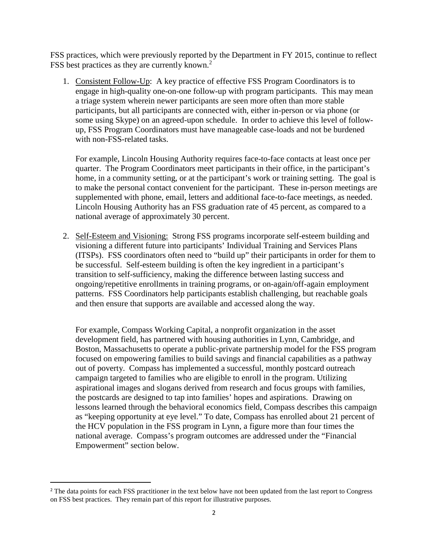FSS practices, which were previously reported by the Department in FY 2015, continue to reflect FSS best practices as they are currently known.<sup>2</sup>

1. Consistent Follow-Up: A key practice of effective FSS Program Coordinators is to engage in high-quality one-on-one follow-up with program participants. This may mean a triage system wherein newer participants are seen more often than more stable participants, but all participants are connected with, either in-person or via phone (or some using Skype) on an agreed-upon schedule. In order to achieve this level of followup, FSS Program Coordinators must have manageable case-loads and not be burdened with non-FSS-related tasks.

For example, Lincoln Housing Authority requires face-to-face contacts at least once per quarter. The Program Coordinators meet participants in their office, in the participant's home, in a community setting, or at the participant's work or training setting. The goal is to make the personal contact convenient for the participant. These in-person meetings are supplemented with phone, email, letters and additional face-to-face meetings, as needed. Lincoln Housing Authority has an FSS graduation rate of 45 percent, as compared to a national average of approximately 30 percent.

2. Self-Esteem and Visioning: Strong FSS programs incorporate self-esteem building and visioning a different future into participants' Individual Training and Services Plans (ITSPs). FSS coordinators often need to "build up" their participants in order for them to be successful. Self-esteem building is often the key ingredient in a participant's transition to self-sufficiency, making the difference between lasting success and ongoing/repetitive enrollments in training programs, or on-again/off-again employment patterns. FSS Coordinators help participants establish challenging, but reachable goals and then ensure that supports are available and accessed along the way.

For example, Compass Working Capital, a nonprofit organization in the asset development field, has partnered with housing authorities in Lynn, Cambridge, and Boston, Massachusetts to operate a public-private partnership model for the FSS program focused on empowering families to build savings and financial capabilities as a pathway out of poverty. Compass has implemented a successful, monthly postcard outreach campaign targeted to families who are eligible to enroll in the program. Utilizing aspirational images and slogans derived from research and focus groups with families, the postcards are designed to tap into families' hopes and aspirations. Drawing on lessons learned through the behavioral economics field, Compass describes this campaign as "keeping opportunity at eye level." To date, Compass has enrolled about 21 percent of the HCV population in the FSS program in Lynn, a figure more than four times the national average. Compass's program outcomes are addressed under the "Financial Empowerment" section below.

<sup>&</sup>lt;sup>2</sup> The data points for each FSS practitioner in the text below have not been updated from the last report to Congress on FSS best practices. They remain part of this report for illustrative purposes.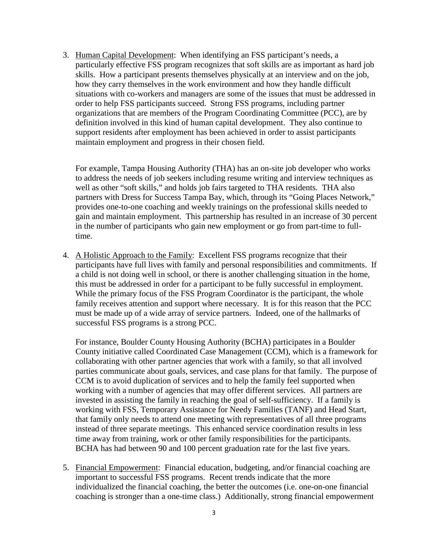3. Human Capital Development: When identifying an FSS participant's needs, a particularly effective FSS program recognizes that soft skills are as important as hard job skills. How a participant presents themselves physically at an interview and on the job, how they carry themselves in the work environment and how they handle difficult situations with co-workers and managers are some of the issues that must be addressed in order to help FSS participants succeed. Strong FSS programs, including partner organizations that are members of the Program Coordinating Committee (PCC), are by definition involved in this kind of human capital development. They also continue to support residents after employment has been achieved in order to assist participants maintain employment and progress in their chosen field.

For example, Tampa Housing Authority (THA) has an on-site job developer who works to address the needs of job seekers including resume writing and interview techniques as well as other "soft skills," and holds job fairs targeted to THA residents. THA also partners with Dress for Success Tampa Bay, which, through its "Going Places Network," provides one-to-one coaching and weekly trainings on the professional skills needed to gain and maintain employment. This partnership has resulted in an increase of 30 percent in the number of participants who gain new employment or go from part-time to fulltime.

4. A Holistic Approach to the Family: Excellent FSS programs recognize that their participants have full lives with family and personal responsibilities and commitments. If a child is not doing well in school, or there is another challenging situation in the home, this must be addressed in order for a participant to be fully successful in employment. While the primary focus of the FSS Program Coordinator is the participant, the whole family receives attention and support where necessary. It is for this reason that the PCC must be made up of a wide array of service partners. Indeed, one of the hallmarks of successful FSS programs is a strong PCC.

For instance, Boulder County Housing Authority (BCHA) participates in a Boulder County initiative called Coordinated Case Management (CCM), which is a framework for collaborating with other partner agencies that work with a family, so that all involved parties communicate about goals, services, and case plans for that family. The purpose of CCM is to avoid duplication of services and to help the family feel supported when working with a number of agencies that may offer different services. All partners are invested in assisting the family in reaching the goal of self-sufficiency. If a family is working with FSS, Temporary Assistance for Needy Families (TANF) and Head Start, that family only needs to attend one meeting with representatives of all three programs instead of three separate meetings. This enhanced service coordination results in less time away from training, work or other family responsibilities for the participants. BCHA has had between 90 and 100 percent graduation rate for the last five years.

5. Financial Empowerment: Financial education, budgeting, and/or financial coaching are important to successful FSS programs. Recent trends indicate that the more individualized the financial coaching, the better the outcomes (i.e. one-on-one financial coaching is stronger than a one-time class.) Additionally, strong financial empowerment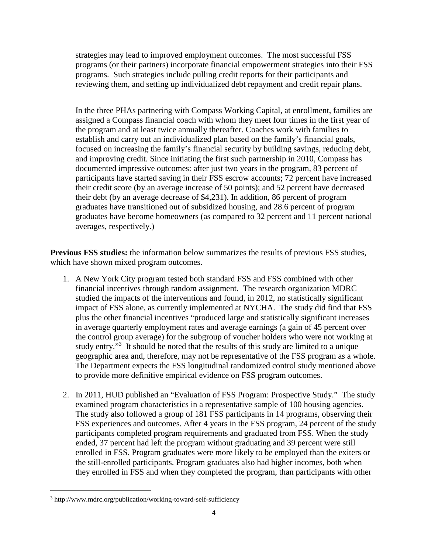strategies may lead to improved employment outcomes. The most successful FSS programs (or their partners) incorporate financial empowerment strategies into their FSS programs. Such strategies include pulling credit reports for their participants and reviewing them, and setting up individualized debt repayment and credit repair plans.

In the three PHAs partnering with Compass Working Capital, at enrollment, families are assigned a Compass financial coach with whom they meet four times in the first year of the program and at least twice annually thereafter. Coaches work with families to establish and carry out an individualized plan based on the family's financial goals, focused on increasing the family's financial security by building savings, reducing debt, and improving credit. Since initiating the first such partnership in 2010, Compass has documented impressive outcomes: after just two years in the program, 83 percent of participants have started saving in their FSS escrow accounts; 72 percent have increased their credit score (by an average increase of 50 points); and 52 percent have decreased their debt (by an average decrease of \$4,231). In addition, 86 percent of program graduates have transitioned out of subsidized housing, and 28.6 percent of program graduates have become homeowners (as compared to 32 percent and 11 percent national averages, respectively.)

**Previous FSS studies:** the information below summarizes the results of previous FSS studies, which have shown mixed program outcomes.

- 1. A New York City program tested both standard FSS and FSS combined with other financial incentives through random assignment. The research organization MDRC studied the impacts of the interventions and found, in 2012, no statistically significant impact of FSS alone, as currently implemented at NYCHA. The study did find that FSS plus the other financial incentives "produced large and statistically significant increases in average quarterly employment rates and average earnings (a gain of 45 percent over the control group average) for the subgroup of voucher holders who were not working at study entry."<sup>3</sup> It should be noted that the results of this study are limited to a unique geographic area and, therefore, may not be representative of the FSS program as a whole. The Department expects the FSS longitudinal randomized control study mentioned above to provide more definitive empirical evidence on FSS program outcomes.
- 2. In 2011, HUD published an "Evaluation of FSS Program: Prospective Study." The study examined program characteristics in a representative sample of 100 housing agencies. The study also followed a group of 181 FSS participants in 14 programs, observing their FSS experiences and outcomes. After 4 years in the FSS program, 24 percent of the study participants completed program requirements and graduated from FSS. When the study ended, 37 percent had left the program without graduating and 39 percent were still enrolled in FSS. Program graduates were more likely to be employed than the exiters or the still-enrolled participants. Program graduates also had higher incomes, both when they enrolled in FSS and when they completed the program, than participants with other

<sup>&</sup>lt;sup>3</sup> http://www.mdrc.org/publication/working-toward-self-sufficiency